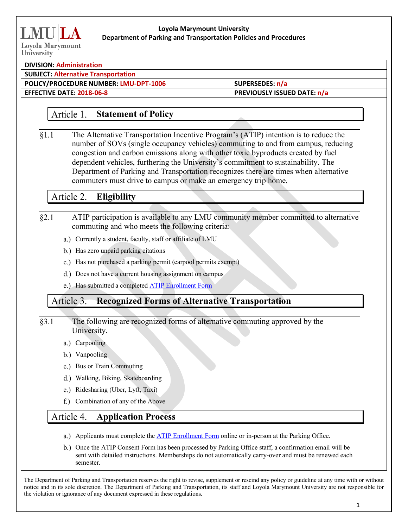# **Loyola Marymount University Department of Parking and Transportation Policies and Procedures**

## **DIVISION: Administration**

**SUBJECT: Alternative Transportation**

**POLICY/PROCEDURE NUMBER: LMU-DPT-1006 SUPERSEDES: n/a**

**EFFECTIVE DATE: 2018-06-8 PREVIOUSLY ISSUED DATE: n/a**

### Article 1. **Statement of Policy**

 $§1.1$ The Alternative Transportation Incentive Program's (ATIP) intention is to reduce the number of SOVs (single occupancy vehicles) commuting to and from campus, reducing congestion and carbon emissions along with other toxic byproducts created by fuel dependent vehicles, furthering the University's commitment to sustainability. The Department of Parking and Transportation recognizes there are times when alternative commuters must drive to campus or make an emergency trip home.

## Article 2. **Eligibility**

- $§2.1$ ATIP participation is available to any LMU community member committed to alternative commuting and who meets the following criteria:
	- a.) Currently a student, faculty, staff or affiliate of LMU
	- b.) Has zero unpaid parking citations
	- c.) Has not purchased a parking permit (carpool permits exempt)
	- d.) Does not have a current housing assignment on campus
	- e.) Has submitted a completed ATIP Enrollment Form

### Article 3. **Recognized Forms of Alternative Transportation**

 $§3.1$ The following are recognized forms of alternative commuting approved by the University.

- a.) Carpooling
- b.) Vanpooling
- c.) Bus or Train Commuting
- Walking, Biking, Skateboarding
- e.) Ridesharing (Uber, Lyft, Taxi)
- f.) Combination of any of the Above

## Article 4. **Application Process**

- a.) Applicants must complete the ATIP Enrollment Form online or in-person at the Parking Office.
- b.) Once the ATIP Consent Form has been processed by Parking Office staff, a confirmation email will be sent with detailed instructions. Memberships do not automatically carry-over and must be renewed each semester.

The Department of Parking and Transportation reserves the right to revise, supplement or rescind any policy or guideline at any time with or without notice and in its sole discretion. The Department of Parking and Transportation, its staff and Loyola Marymount University are not responsible for the violation or ignorance of any document expressed in these regulations.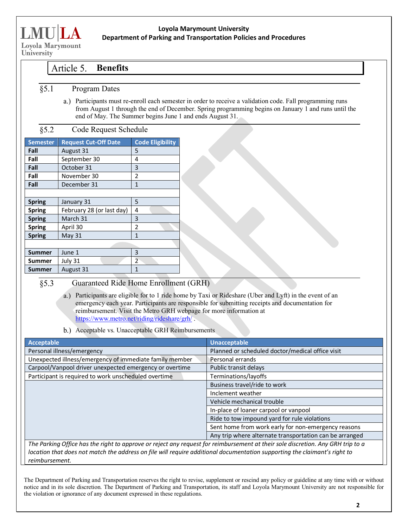

## **Loyola Marymount University Department of Parking and Transportation Policies and Procedures**

University

#### **Benefits** Article 5.

- $§ 5.1$ Program Dates
	- Participants must re-enroll each semester in order to receive a validation code. Fall programming runs from August 1 through the end of December. Spring programming begins on January 1 and runs until the end of May. The Summer begins June 1 and ends August 31.

#### $§ 5.2$ Code Request Schedule

| <b>Semester</b> | <b>Request Cut-Off Date</b> | <b>Code Eligibility</b> |
|-----------------|-----------------------------|-------------------------|
| Fall            | August 31                   | 5                       |
| Fall            | September 30                | 4                       |
| Fall            | October 31                  | 3                       |
| Fall            | November 30                 | $\overline{2}$          |
| Fall            | December 31                 | 1                       |
|                 |                             |                         |
| <b>Spring</b>   | January 31                  | 5                       |
| <b>Spring</b>   | February 28 (or last day)   | 4                       |
| <b>Spring</b>   | March 31                    | 3                       |
| <b>Spring</b>   | April 30                    | 2                       |
| <b>Spring</b>   | <b>May 31</b>               | 1                       |
|                 |                             |                         |
| <b>Summer</b>   | June 1                      | 3                       |
| Summer          | July 31                     | $\overline{2}$          |
| Summer          | August 31                   | 1                       |

#### $\overline{\S5.3}$ Guaranteed Ride Home Enrollment (GRH)

a.) Participants are eligible for to 1 ride home by Taxi or Rideshare (Uber and Lyft) in the event of an emergency each year. Participants are responsible for submitting receipts and documentation for reimbursement. Visit the Metro GRH webpage for more information at https://www.metro.net/riding/rideshare/grh/ .

b.) Acceptable vs. Unacceptable GRH Reimbursements

| <b>Acceptable</b>                                                                                                               | <b>Unacceptable</b>                                     |  |  |
|---------------------------------------------------------------------------------------------------------------------------------|---------------------------------------------------------|--|--|
| Personal illness/emergency                                                                                                      | Planned or scheduled doctor/medical office visit        |  |  |
| Unexpected illness/emergency of immediate family member                                                                         | Personal errands                                        |  |  |
| Carpool/Vanpool driver unexpected emergency or overtime                                                                         | Public transit delays                                   |  |  |
| Participant is required to work unscheduled overtime                                                                            | Terminations/layoffs                                    |  |  |
|                                                                                                                                 | Business travel/ride to work                            |  |  |
|                                                                                                                                 | Inclement weather                                       |  |  |
|                                                                                                                                 | Vehicle mechanical trouble                              |  |  |
|                                                                                                                                 | In-place of loaner carpool or vanpool                   |  |  |
|                                                                                                                                 | Ride to tow impound yard for rule violations            |  |  |
|                                                                                                                                 | Sent home from work early for non-emergency reasons     |  |  |
|                                                                                                                                 | Any trip where alternate transportation can be arranged |  |  |
| The Parking Office has the right to approve or reject any request for reimbursement at their sole discretion. Any GRH trip to a |                                                         |  |  |
| laastian that daas nat mateh tha sedduses an file will noowiga sedditional daawnooptation sweepsting tha alsimproperty sight to |                                                         |  |  |

*location that does not match the address on file will require additional documentation supporting the claimant's right to reimbursement.* 

The Department of Parking and Transportation reserves the right to revise, supplement or rescind any policy or guideline at any time with or without notice and in its sole discretion. The Department of Parking and Transportation, its staff and Loyola Marymount University are not responsible for the violation or ignorance of any document expressed in these regulations.